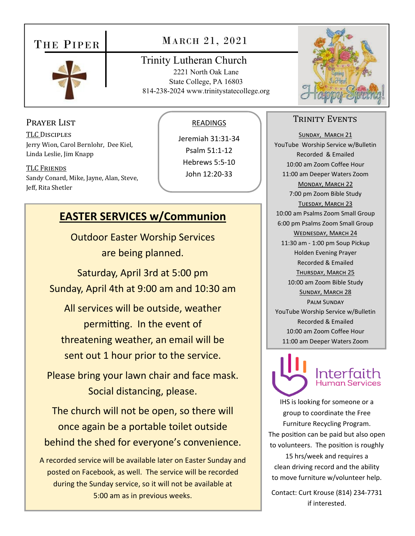## THE PIPER



## MARCH 21, 2021

### Trinity Lutheran Church

2221 North Oak Lane State College, PA 16803 814-238-2024 www.trinitystatecollege.org

### Prayer List

TLC DISCIPLES Jerry Wion, Carol Bernlohr, Dee Kiel, Linda Leslie, Jim Knapp

TLC FRIENDS Sandy Conard, Mike, Jayne, Alan, Steve, Jeff, Rita Shetler

### READINGS

Jeremiah 31:31‐34 Psalm 51:1‐12 Hebrews 5:5‐10 John 12:20‐33

## **EASTER SERVICES w/Communion**

Outdoor Easter Worship Services are being planned.

Saturday, April 3rd at 5:00 pm Sunday, April 4th at 9:00 am and 10:30 am

All services will be outside, weather permitting. In the event of threatening weather, an email will be sent out 1 hour prior to the service.

Please bring your lawn chair and face mask. Social distancing, please.

The church will not be open, so there will once again be a portable toilet outside behind the shed for everyone's convenience.

A recorded service will be available later on Easter Sunday and posted on Facebook, as well. The service will be recorded during the Sunday service, so it will not be available at 5:00 am as in previous weeks.



### TRINITY EVENTS

SUNDAY, MARCH 21 YouTube Worship Service w/Bulletin Recorded & Emailed 10:00 am Zoom Coffee Hour 11:00 am Deeper Waters Zoom MONDAY, MARCH 22 7:00 pm Zoom Bible Study TUESDAY, MARCH 23 10:00 am Psalms Zoom Small Group 6:00 pm Psalms Zoom Small Group WEDNESDAY, MARCH 24 11:30 am ‐ 1:00 pm Soup Pickup Holden Evening Prayer Recorded & Emailed THURSDAY, MARCH 25 10:00 am Zoom Bible Study SUNDAY, MARCH 28 PALM SUNDAY YouTube Worship Service w/Bulletin Recorded & Emailed 10:00 am Zoom Coffee Hour 11:00 am Deeper Waters Zoom



# Human Services

IHS is looking for someone or a group to coordinate the Free Furniture Recycling Program. The position can be paid but also open to volunteers. The position is roughly

15 hrs/week and requires a clean driving record and the ability to move furniture w/volunteer help.

Contact: Curt Krouse (814) 234‐7731 if interested.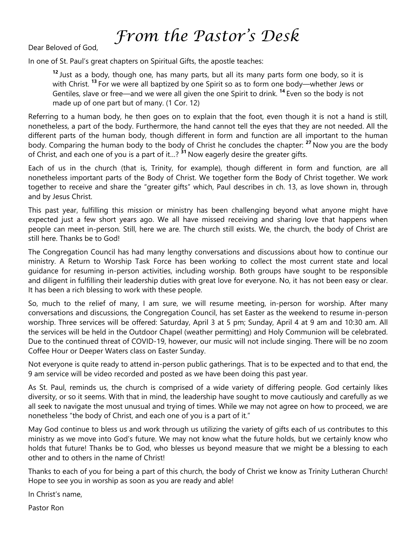## *From the Pastor's Desk*

Dear Beloved of God,

In one of St. Paul's great chapters on Spiritual Gifts, the apostle teaches:

**<sup>12</sup>**Just as a body, though one, has many parts, but all its many parts form one body, so it is with Christ. **<sup>13</sup>**For we were all baptized by one Spirit so as to form one body—whether Jews or Gentiles, slave or free—and we were all given the one Spirit to drink. **<sup>14</sup>**Even so the body is not made up of one part but of many. (1 Cor. 12)

Referring to a human body, he then goes on to explain that the foot, even though it is not a hand is still, nonetheless, a part of the body. Furthermore, the hand cannot tell the eyes that they are not needed. All the different parts of the human body, though different in form and function are all important to the human body. Comparing the human body to the body of Christ he concludes the chapter: <sup>27</sup> Now you are the body of Christ, and each one of you is a part of it…? **<sup>31</sup>**Now eagerly desire the greater gifts.

Each of us in the church (that is, Trinity, for example), though different in form and function, are all nonetheless important parts of the Body of Christ. We together form the Body of Christ together. We work together to receive and share the "greater gifts" which, Paul describes in ch. 13, as love shown in, through and by Jesus Christ.

This past year, fulfilling this mission or ministry has been challenging beyond what anyone might have expected just a few short years ago. We all have missed receiving and sharing love that happens when people can meet in-person. Still, here we are. The church still exists. We, the church, the body of Christ are still here. Thanks be to God!

The Congregation Council has had many lengthy conversations and discussions about how to continue our ministry. A Return to Worship Task Force has been working to collect the most current state and local guidance for resuming in-person activities, including worship. Both groups have sought to be responsible and diligent in fulfilling their leadership duties with great love for everyone. No, it has not been easy or clear. It has been a rich blessing to work with these people.

So, much to the relief of many, I am sure, we will resume meeting, in-person for worship. After many conversations and discussions, the Congregation Council, has set Easter as the weekend to resume in-person worship. Three services will be offered: Saturday, April 3 at 5 pm; Sunday, April 4 at 9 am and 10:30 am. All the services will be held in the Outdoor Chapel (weather permitting) and Holy Communion will be celebrated. Due to the continued threat of COVID-19, however, our music will not include singing. There will be no zoom Coffee Hour or Deeper Waters class on Easter Sunday.

Not everyone is quite ready to attend in-person public gatherings. That is to be expected and to that end, the 9 am service will be video recorded and posted as we have been doing this past year.

As St. Paul, reminds us, the church is comprised of a wide variety of differing people. God certainly likes diversity, or so it seems. With that in mind, the leadership have sought to move cautiously and carefully as we all seek to navigate the most unusual and trying of times. While we may not agree on how to proceed, we are nonetheless "the body of Christ, and each one of you is a part of it."

May God continue to bless us and work through us utilizing the variety of gifts each of us contributes to this ministry as we move into God's future. We may not know what the future holds, but we certainly know who holds that future! Thanks be to God, who blesses us beyond measure that we might be a blessing to each other and to others in the name of Christ!

Thanks to each of you for being a part of this church, the body of Christ we know as Trinity Lutheran Church! Hope to see you in worship as soon as you are ready and able!

In Christ's name,

Pastor Ron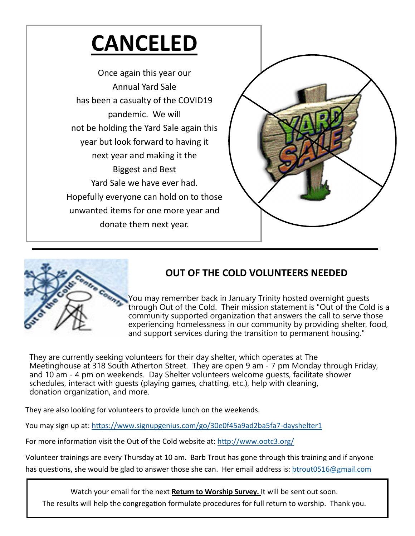## **CANCELED**

Once again this year our Annual Yard Sale has been a casualty of the COVID19 pandemic. We will not be holding the Yard Sale again this year but look forward to having it next year and making it the Biggest and Best Yard Sale we have ever had. Hopefully everyone can hold on to those unwanted items for one more year and donate them next year.





## **OUT OF THE COLD VOLUNTEERS NEEDED**

You may remember back in January Trinity hosted overnight guests through Out of the Cold. Their mission statement is "Out of the Cold is a community supported organization that answers the call to serve those experiencing homelessness in our community by providing shelter, food, and support services during the transition to permanent housing."

They are currently seeking volunteers for their day shelter, which operates at The Meetinghouse at 318 South Atherton Street. They are open 9 am - 7 pm Monday through Friday, and 10 am - 4 pm on weekends. Day Shelter volunteers welcome guests, facilitate shower schedules, interact with guests (playing games, chatting, etc.), help with cleaning, donation organization, and more.

They are also looking for volunteers to provide lunch on the weekends.

You may sign up at: https://www.signupgenius.com/go/30e0f45a9ad2ba5fa7-dayshelter1

For more information visit the Out of the Cold website at: http://www.ootc3.org/

Volunteer trainings are every Thursday at 10 am. Barb Trout has gone through this training and if anyone has questions, she would be glad to answer those she can. Her email address is: btrout0516@gmail.com

Watch your email for the next **Return to Worship Survey.** It will be sent out soon. The results will help the congregation formulate procedures for full return to worship. Thank you.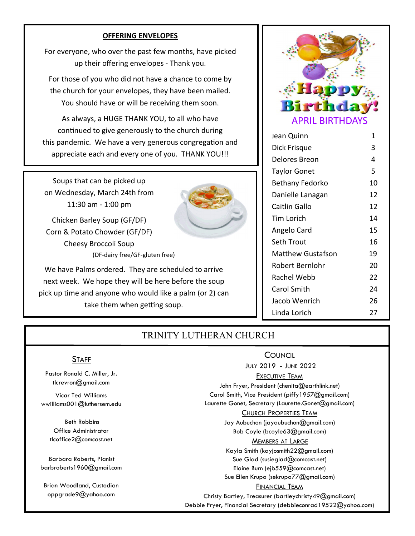### **OFFERING ENVELOPES**

For everyone, who over the past few months, have picked up their offering envelopes ‐ Thank you.

For those of you who did not have a chance to come by the church for your envelopes, they have been mailed. You should have or will be receiving them soon.

As always, a HUGE THANK YOU, to all who have continued to give generously to the church during this pandemic. We have a very generous congregation and appreciate each and every one of you. THANK YOU!!!

Soups that can be picked up on Wednesday, March 24th from 11:30 am ‐ 1:00 pm

Chicken Barley Soup (GF/DF) Corn & Potato Chowder (GF/DF) Cheesy Broccoli Soup (DF‐dairy free/GF‐gluten free)

We have Palms ordered. They are scheduled to arrive next week. We hope they will be here before the soup pick up time and anyone who would like a palm (or 2) can take them when getting soup.



| Jean Quinn          | 1  |
|---------------------|----|
| Dick Frisque        | 3  |
| Delores Breon       | 4  |
| <b>Taylor Gonet</b> | 5  |
| Bethany Fedorko     | 10 |
| Danielle Lanagan    | 12 |
| Caitlin Gallo       | 12 |
| Tim Lorich          | 14 |
| Angelo Card         | 15 |
| Seth Trout          | 16 |
| Matthew Gustafson   | 19 |
| Robert Bernlohr     | 20 |
| Rachel Webb         | 22 |
| Carol Smith         | 24 |
| Jacob Wenrich       | 26 |
| Linda Lorich        | 27 |

### TRINITY LUTHERAN CHURCH

#### **STAFF**

Pastor Ronald C. Miller, Jr. tlcrevron@gmail.com

Vicar Ted Williams wwilliams001@luthersem.edu

> Beth Robbins Office Administrator tlcoffice2@comcast.net

Barbara Roberts, Pianist barbroberts1960@gmail.com

Brian Woodland, Custodian oppgrade9@yahoo.com

### **COUNCIL**  JULY 2019 - JUNE 2022 EXECUTIVE TEAM John Fryer, President (chenita@earthlink.net) Carol Smith, Vice President (piffy1957@gmail.com) Laurette Gonet, Secretary (Laurette.Gonet@gmail.com) CHURCH PROPERTIES TEAM Jay Aubuchon (jayaubuchon@gmail.com)

Bob Coyle (bcoyle63@gmail.com)

### MEMBERS AT LARGE

Kayla Smith (kayjosmith22@gmail.com) Sue Glad (susieglad@comcast.net) Elaine Burn (ejb559@comcast.net) Sue Ellen Krupa (sekrupa77@gmail.com)

#### FINANCIAL TEAM

Christy Bartley, Treasurer (bartleychristy49@gmail.com) Debbie Fryer, Financial Secretary (debbieconrad19522@yahoo.com)